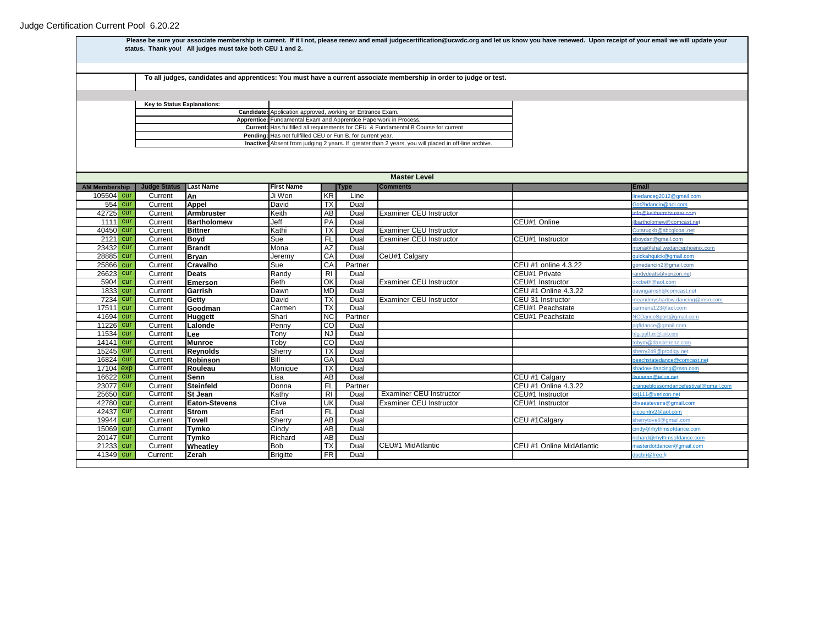**Judge Status Last Name First Name Type Comments Email AM Membership** 105504 cur Current **An** Ji Won KR Line [linedanceg2012@gmail.com](mailto:linedanceg2012@gmail.com) 554<mark> cur Current **Appel** David TX Dual [Got2bdancin@aol.com](mailto:Got2bdancin@aol.com) Got2bdancin@aol.com</mark> 12725 **cur Current Armbruster [info@keitharmbruster.com](mailto:info@keitharmbruster.com)**<br>1111 cur Current Bartholomew Jeff **PA Dual** Examiner CEU Instructor **info@keitharmbruster.com** illustrholomew@comcast.n 1111 **Current Bartholomew** Jeff PA Dual CEU#1 Online CEU#1 Online [jlbartholomew@comcast.net](mailto:jlbartholomew@comcast.net) 40450 cur Current **Bittner** Kathi TX Dual Examiner CEU Instructor [Cutarugkb@sbcglobal.net](mailto:Cutarugkb@sbcglobal.net) 2121 **Current Boyd** Sue FL Dual Examiner CEU Instructor CEU#1 Instructor [sboydsn@gmail.com](mailto:sboydsn@gmail.com)<br>21 Current Brandt Schulwedancer 23432 cur Current **Brandt** Mona AZ Dual [mona@shallwedancephoenix.com](mailto:mona@shallwedancephoenix.com) 28885 cur Current **Bryan** Jeremy CA Dual CeU#1 Calgary [quickahquick@gmail.com](mailto:quickahquick@gmail.com) 25866<mark> cur Current Cravalho Sue Sue CA Partner Carrent Communication CEU #1 online 4.3.22 g<u>onedancin2@gmail.com</u></mark> 26623 cur Current Deats **Randy RI Dual CEU#1 Private** CEU#1 Private randydeats @verizon.net 5904 **Cur Current Emerson** Beth OK Dual Examiner CEU Instructor CEU#1 Instructor [okcbeth@aol.com](mailto:okcbeth@aol.com) 1833 **Cur Current Garrish Dawn MD Dual CEU #1 Online 4.3.22** [dawngarrish@comcast.net](mailto:dawngarrish@comcast.net) **7234 cur Current Getty David TX Dual Examiner CEU Instructor CEU 31 Instructor** meandmyshadow-dancing@ 17511 **Cur Current Goodman** Carmen TX Dual CEU#1 Peachstate [carmens123@aol.com](mailto:carmens123@aol.com) 41694 cur Current **Huggett** Shari NC Partner CEU#1 Peachstate [NCDanceSport@gmail.com](mailto:NCDanceSport@gmail.com) 11226<mark> cur Current Lalonde Penny ICO Dual penny CO Pual personali.com en la pa<sup>nt</sup>alance@gmail.com</mark> 11534 cur Current **Lee** Tony NJ Dual [bigapplLee@aol.com](mailto:bigapplLee@aol.com) 14141<mark> cur Current Munroe Toby CO Dual [tobym@dancetrenz.com](mailto:tobym@dancetrenz.com) tobym@dancetrenz.com</mark> 15245 cur Current Reynolds Sherry TX Dual sherry TX Dual sherry Sherry<sup>249@prodigy.net</sub></sup> 16824 <mark>cur Current Robinson Bill GA Dual [peachstatedance@comcast.net](mailto:peachstatedance@comcast.net)</mark> 17104 exp Current **Rouleau** Monique TX Dual [shadow-dancing@msn.com](mailto:shadow-dancing@msn.com) 16622 cur Current **Senn** Lisa AB Dual CEU #1 Calgary [lisasenn@telus.net](mailto:lisasenn@telus.net) 23077 cur Current Steinfeld **Donna** FL Partner CEU #1 Online 4.3.22 [orangeblossomdancefestival@gmail.com](mailto:orangeblossomdancefestival@gmail.com) 25650 cur Current **St Jean** Kathy RI Dual Examiner CEU Instructor CEU#1 Instructor [ksj111@verizon.net](mailto:ksj111@verizon.net) **42780 cur Current Eaton-Stevens Clive UK Dual Examiner CEU Instructor CEU#1 Instructor [cliveastevens@gmail.com](mailto:cliveastevens@gmail.com)<br>42437 cur Current Strom Carl Earl FL Dual Current CEU Instructor CEU#1 Instructor cliveastevens@gmail.com** 42437 cur Current **Strom** Earl FL Dual [elcountry2@aol.com](mailto:elcountry2@aol.com) **19944<mark> cur</mark> Current Tovell Sherry AB Dual CEU #1Calgary Sherrytovell@gmail.com** 15069 cur Current **Tymko** Cindy AB Dual [cindy@rhythmsofdance.com](mailto:cindy@rhythmsofdance.com) 20147 <mark>cur Current Tymko Richard AB</mark> Dual Richard AB Dual richard®rhythmsofdance.com 21233 **cur** Current **Wheatley** Bob TX Dual CEU#1 MidAtlantic CEU #1 Online MidAtlantic 41349 <mark>cur Current: <mark>Zerah</mark> Brigitte FR Dual dochri@free.fr dochri@free.fr</mark> dochri@free.fr dochri@free.fr dochri@free.fr dochri@free.fr dochri@free.fr dochri@free.fr dochri@free.fr dochri@free.fr dochri@free.fr dochri@free **Inactive:** Absent from judging 2 years. If greater than 2 years, you will placed in off-line archive. **Current:** Has fullfilled all requirements for CEU & Fundamental B Course for current **Pending:** Has not fullfilled CEU or Fun B, for current year. **Candidate:** Application approved, working on Entrance Exam. **Apprentice:** Fundamental Exam and Apprentice Paperwork in Process. **Master Level** Please be sure your associate membership is current. If it I not, please renew and email judgecertification@ucwdc.org and let us know you have renewed. Upon receipt of your email we will update your **status. Thank you! All judges must take both CEU 1 and 2. To all judges, candidates and apprentices: You must have a current associate membership in order to judge or test. Key to Status Explanations:**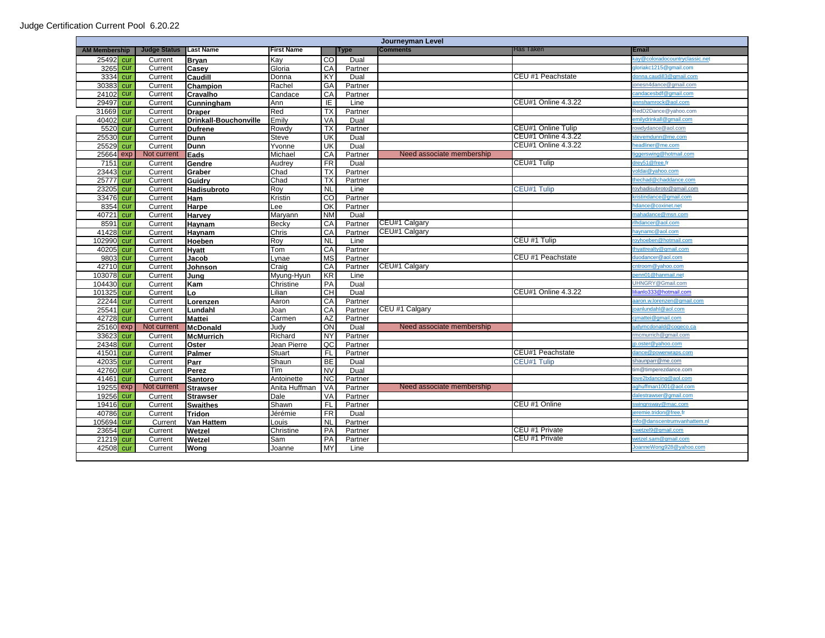| Journeyman Level     |     |                         |                              |                   |                         |             |                           |                           |                               |
|----------------------|-----|-------------------------|------------------------------|-------------------|-------------------------|-------------|---------------------------|---------------------------|-------------------------------|
| <b>AM Membership</b> |     | <b>Judge Status</b>     | Last Name                    | <b>First Name</b> |                         | <b>Type</b> | Comments                  | Has Taken                 | <b>Email</b>                  |
| 25492 cur            |     | Current                 | <b>Brvan</b>                 | Kav               | <b>CO</b>               | Dual        |                           |                           | ay@coloradocountryclassic.net |
| 3265                 | cur | Current                 | Casev                        | Gloria            | CA                      | Partner     |                           |                           | doriakc1215@gmail.com         |
| 3334                 | cur | Current                 | Caudill                      | Donna             | KY                      | Dual        |                           | CEU #1 Peachstate         | lonna.caudill3@gmail.com      |
| 3038                 | cur | Current                 | <b>Champion</b>              | Rachel            | GA                      | Partner     |                           |                           | onesn4dance@gmail.com         |
| 2410                 | cur | Current                 | Cravalho                     | Candace           | CA                      | Partner     |                           |                           | andacesbdf@gmail.com          |
| 2949                 | cur | Current                 | Cunningham                   | Ann               | IE                      | Line        |                           | CEU#1 Online 4.3.22       | nnshamrock@aol.com            |
| 31669                | cur | Current                 | <b>Draper</b>                | Red               | ТX                      | Partner     |                           |                           | RedD2Dance@yahoo.com          |
| 4040                 | cur | Current                 | <b>Drinkall-Bouchonville</b> | Emily             | VA                      | Dual        |                           |                           | emilydrinkall@gmail.com       |
| 5520                 | cur | Current                 | <b>Dufrene</b>               | Rowdy             | <b>TX</b>               | Partner     |                           | <b>CEU#1 Online Tulip</b> | owdydance@aol.com             |
| 25530                | cur | Current                 | <b>Dunn</b>                  | Steve             | UK                      | Dual        |                           | CEU#1 Online 4.3.22       | stevemdunn@me.com             |
| 25529                | cur | Current                 | <b>Dunn</b>                  | Yvonne            | $\overline{\mathsf{U}}$ | Dual        |                           | CEU#1 Online 4.3.22       | eadliner@me.com               |
| 2566                 | exp | Not curren <sup>®</sup> | <b>I</b> Eads                | Michael           | CA                      | Partner     | Need associate membership |                           | ggerswing@hotmail.com         |
| 7151                 | cur | Current                 | Gendre                       | Audrey            | <b>FR</b>               | Dual        |                           | CEU#1 Tulip               | lrey51@free.fr                |
| 23443                | cur | Current                 | Graber                       | Chad              | <b>TX</b>               | Partner     |                           |                           | oldai@yahoo.com               |
| 2577                 | cur | Current                 | Guidry                       | Chad              | <b>TX</b>               | Partner     |                           |                           | hechad@chaddance.com          |
| 23205                | cur | Current                 | Hadisubroto                  | Roy               | $\overline{NL}$         | Line        |                           | CEU#1 Tulip               | oyhadisubroto@gmail.com       |
| 33476                | cur | Current                 | Ham                          | Kristin           | <b>CO</b>               | Partner     |                           |                           | cristindance@gmail.com        |
| 8354                 | cur | Current                 | Harpe                        | Lee               | OK                      | Partner     |                           |                           | dance@coxinet.net             |
| 4072                 | cur | Current                 | <b>Harvey</b>                | Maryann           | <b>NM</b>               | Dual        |                           |                           | nahadance@msn.com             |
| 8591                 | cur | Current                 | Haynam                       | Becky             | CA                      | Partner     | CEU#1 Calgary             |                           | hdancer@aol.com               |
| 41428                | cur | Current                 | Haynam                       | Chris             | CA                      | Partner     | CEU#1 Calgary             |                           | aynamc@aol.com                |
| 102990               | cur | Current                 | Hoeben                       | Roy               | <b>NL</b>               | Line        |                           | CEU #1 Tulip              | byhoeben@hotmail.com          |
| 4020                 | cur | Current                 | <b>H</b> vatt                | Tom               | CA                      | Partner     |                           |                           | nyattrealty@gmail.com         |
| 980                  | cur | Current                 | Jacob                        | Lynae             | <b>MS</b>               | Partner     |                           | CEU #1 Peachstate         | luodancer@aol.com             |
| 42710                | cur | Current                 | Johnson                      | Craig             | CA                      | Partner     | CEU#1 Calgary             |                           | cntroom@yahoo.com             |
| 103078               | cur | Current                 | Juna                         | Myung-Hyun        | KR                      | Line        |                           |                           | enn01@hanmail.net             |
| 104430               | cur | Current                 | Kam                          | Christine         | PA                      | Dual        |                           |                           | JHNGRY@Gmail.com              |
| 101325               | cur | Current                 | Lo                           | Lilian            | <b>CH</b>               | Dual        |                           | CEU#1 Online 4.3.22       | lianlo333@hotmail.com         |
| 22244                | cur | Current                 | Lorenzen                     | Aaron             | CA                      | Partner     |                           |                           | aaron.w.lorenzen@gmail.com    |
| 2554                 | cur | Current                 | Lundahl                      | Joan              | CA                      | Partner     | CEU #1 Calgary            |                           | banlundahl@aol.com            |
| 42728                | cur | Current                 | <b>Mattei</b>                | Carmen            | <b>AZ</b>               | Partner     |                           |                           | jmattei@gmail.com             |
| 25160                | exp | Not current             | <b>McDonald</b>              | Judy              | ON                      | Dual        | Need associate membership |                           | udymcdonald@cogeco.ca         |
| 33623                | cur | Current                 | <b>McMurrich</b>             | Richard           | <b>NY</b>               | Partner     |                           |                           | mcmurrich@gmail.com           |
| 24348                | cur | Current                 | Oster                        | Jean Pierre       | $\overline{OC}$         | Partner     |                           |                           | b.oster@yahoo.com             |
| 41501                | cur | Current                 | Palmer                       | Stuart            | FL                      | Partner     |                           | CEU#1 Peachstate          | ance@powerwraps.com           |
| 42035                | cur | Current                 | Parr                         | Shaun             | <b>BE</b>               | Dual        |                           | CEU#1 Tulip               | shaunparr@me.com              |
| 42760                | cur | Current                 | Perez                        | Tim               | <b>NV</b>               | Dual        |                           |                           | im@timperezdance.com          |
| 41461                | cur | Current                 | <b>Santoro</b>               | Antoinette        | NC                      | Partner     |                           |                           | ove2bdancing@aol.com          |
| 19255                | exp | Not current             | <b>Strawser</b>              | Anita Huffman     | <b>VA</b>               | Partner     | Need associate membership |                           | ghuffman1001@aol.com          |
| 19256                | cur | Current                 | <b>Strawser</b>              | Dale              | <b>VA</b>               | Partner     |                           |                           | alestrawser@gmail.com         |
| 19416                | cur | Current                 | <b>Swaithes</b>              | Shawn             | FL                      | Partner     |                           | CEU #1 Online             | wingnsway@mac.com             |
| 40786                | cur | Current                 | <b>Tridon</b>                | Jérémie           | FR                      | Dual        |                           |                           | eremie.tridon@free.fr         |
| 105694               | cur | Current                 | <b>Van Hattem</b>            | Louis             | N <sub>L</sub>          | Partner     |                           |                           | nfo@danscentrumvanhattem.n    |
| 23654                | cur | Current                 | Wetzel                       | Christine         | PA                      | Partner     |                           | CEU #1 Private            | cwetzel9@gmail.com            |
| 21219                | cur | Current                 | Wetzel                       | Sam               | PA                      | Partner     |                           | CEU #1 Private            | vetzel.sam@gmail.com          |
| 42508                | cur | Current                 | Wona                         | Joanne            | <b>MY</b>               | Line        |                           |                           | loanneWong928@yahoo.com       |
|                      |     |                         |                              |                   |                         |             |                           |                           |                               |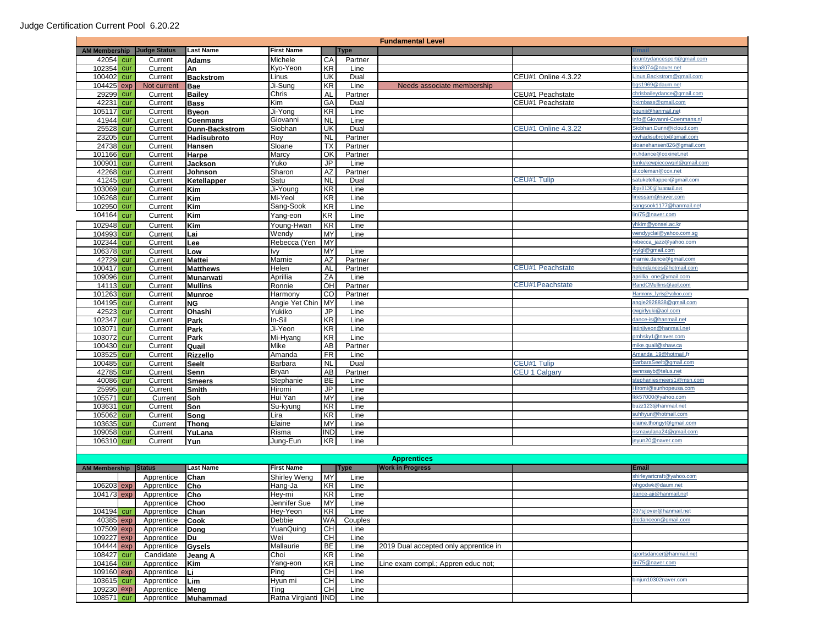| <b>Fundamental Level</b>    |            |                     |                       |                     |                 |              |                                       |                            |                                            |
|-----------------------------|------------|---------------------|-----------------------|---------------------|-----------------|--------------|---------------------------------------|----------------------------|--------------------------------------------|
| <b>AM Membership</b>        |            | <b>Judge Status</b> | <b>Last Name</b>      | <b>First Name</b>   |                 | <b>Type</b>  |                                       |                            |                                            |
| 42054 cur                   |            | Current             | <b>Adams</b>          | Michele             | CA              | Partner      |                                       |                            | countrydancesport@gmail.com                |
| 102354 cur                  |            | Current             | An                    | Kyo-Yeon            | KR              | Line         |                                       |                            | na8074@naver.net                           |
| 100402                      | cur        | Current             | <b>Backstrom</b>      | Linus               | UK              | Dual         |                                       | CEU#1 Online 4.3.22        | inus.Backstrom@gmail.com                   |
| 104425                      | exp        | Not current         | <b>Bae</b>            | Ji-Sung             | KR              | Line         | Needs associate membership            |                            | bgs1969@daum.net                           |
| 29299                       | cur        | Current             | <b>Bailey</b>         | Chris               | <b>AL</b>       | Partner      |                                       | CEU#1 Peachstate           | chrisbaileydance@gmail.com                 |
| 4223                        | cur        | Current             | <b>Bass</b>           | Kim                 | GA              | Dual         |                                       | CEU#1 Peachstate           | hkimbass@gmail.com                         |
| 105117                      | cur        | Current             | <b>Byeon</b>          | Ji-Yong             | KR              | Line         |                                       |                            | bounji@hanmail.net                         |
| 41944                       | cur        | Current             | Coenmans              | Giovanni            | <b>NL</b>       | Line         |                                       |                            | info@Giovanni-Coenmans.n                   |
| 25528                       | cur        | Current             | <b>Dunn-Backstrom</b> | Siobhan             | UK              | Dual         |                                       | <b>CEU#1 Online 4.3.22</b> | Siobhan.Dunn@icloud.com                    |
| 23205                       | cur        | Current             | Hadisubroto           | Roy                 | <b>NL</b>       | Partner      |                                       |                            | oyhadisubroto@gmail.com                    |
| 24738                       | cur        | Current             | Hansen                | Sloane              | <b>TX</b>       | Partner      |                                       |                            | sloanehansen826@gmail.com                  |
| 101166                      | cur        | Current             | Harpe                 | Marcy               | OK              | Partner      |                                       |                            | m.hdance@coxinet.net                       |
| 10090 <sup>-</sup>          | cur        | Current             | Jackson               | Yuko                | JP              | Line         |                                       |                            | unkykewpiecowgirl@gmail.com                |
| 42268                       | cur        | Current             | Johnson               | Sharon              | AZ              | Partner      |                                       |                            | sl.coleman@cox.net                         |
| 41245                       | cur        | Current             | Ketellapper           | Satu                | <b>NL</b>       | Dual         |                                       | CEU#1 Tulip                | satuketellapper@gmail.com                  |
| 10306                       | cur        | Current             | Kim                   | Ji-Young            | <b>KR</b>       | Line         |                                       |                            | pps0130@hanmail.net                        |
| 10626                       | cur        | Current             | Kim                   | Mi-Yeol             | KR              | Line         |                                       |                            | linessam@naver.com                         |
| 102950 cur                  |            | Current             | Kim                   | Sang-Sook           | KR              | Line         |                                       |                            | sangsook1177@hanmail.net                   |
| 10416                       | cur        | Current             | Kim                   | Yang-eon            | KR              | Line         |                                       |                            | lini75@naver.com                           |
| 102948 cur                  |            | Current             | Kim                   | Young-Hwan          | KR              | Line         |                                       |                            | /hkim@yonsei.ac.kr                         |
| 104993                      | cur        | Current             | Lai                   | Wendy               | MY              | Line         |                                       |                            | vendyyclai@yahoo.com.sg                    |
| 102344 cur                  |            | Current             | Lee                   | Rebecca (Yen        | MY              |              |                                       |                            | rebecca_jazz@yahoo.com                     |
| 106378                      | cur        | Current             | Low                   | Ivy                 | MY              | Line         |                                       |                            | vylgl@gmail.com                            |
| 4272                        | cur        | Current             | <b>Mattei</b>         | Marnie              | AZ              | Partner      |                                       |                            | marnie.dance@gmail.com                     |
| 100417 cur                  |            | Current             | <b>Matthews</b>       | Helen               | AL              | Partner      |                                       | <b>CEU#1 Peachstate</b>    | nelendances@hotmail.com                    |
| 109096                      | cur        | Current             | <b>Munarwati</b>      | Aprillia            | ZA              | Line         |                                       |                            | aprillia_one@ymail.com                     |
| 14113                       | cur        | Current             | <b>Mullins</b>        | Ronnie              | OH              | Partner      |                                       | CEU#1Peachstate            | RandCMullins@aol.com                       |
| 101263                      | cur        | Current             | <b>Munroe</b>         | Harmony             | $_{\rm CO}$     | Partner      |                                       |                            | Harmony lyris@yahoo.com                    |
| 104195 cur                  |            | Current             | <b>NG</b>             | Angie Yet Chin MY   |                 | Line         |                                       |                            | angie2928838@gmail.com                     |
| 42523                       | cur        | Current             | Ohashi                | Yukiko              | JP<br><b>KR</b> | Line         |                                       |                            | cwgirlyuki@aol.com<br>dance-is@hanmail.net |
| 102347<br>103071            | cur<br>cur | Current<br>Current  | Park<br>Park          | In-Sil<br>Ji-Yeon   | KR              | Line<br>Line |                                       |                            | latinjiyeon@hanmail.net                    |
| 103072 cur                  |            | Current             |                       | Mi-Hyang            | KR              | Line         |                                       |                            | omhsky1@naver.com                          |
| 10043                       | cur        | Current             | Park<br>Quail         | Mike                | AB              | Partner      |                                       |                            | mike.quail@shaw.ca                         |
| 10352                       | cur        | Current             | <b>Rizzello</b>       | Amanda              | <b>FR</b>       | Line         |                                       |                            | Amanda_19@hotmail.fr                       |
| 10048                       | cur        | Current             | <b>Seelt</b>          | Barbara             | <b>NL</b>       | Dual         |                                       | CEU#1 Tulip                | BarbaraSeelt@gmail.com                     |
| 42785 cur                   |            | Current             | Senn                  | <b>Bryan</b>        | AB              | Partner      |                                       | CEU 1 Calgary              | sennsayb@telus.net                         |
| 40086                       | cur        | Current             | <b>Smeers</b>         | Stephanie           | BE              | Line         |                                       |                            | stephaniesmeers1@msn.com                   |
| 25995                       | cur        | Current             | <b>Smith</b>          | Hiromi              | JP              | Line         |                                       |                            | Hiromi@sunhopeusa.com                      |
| 105571                      | cur        | Current             | Soh                   | Hui Yan             | MY              | Line         |                                       |                            | Ikk57000@yahoo.com                         |
| 103631 cur                  |            | Current             | Son                   | Su-kyung            | KR              | Line         |                                       |                            | buzz123@hanmail.net                        |
| 10506                       | cur        | Current             | Song                  | Lira                | KR              | Line         |                                       |                            | suhhyun@hotmail.com                        |
| 103635                      | cur        | Current             | Thong                 | Elaine              | MY              | Line         |                                       |                            | elaine.thongyt@gmail.com                   |
| 10905                       | cur        | Current             | YuLana                | Risma               | IND             | Line         |                                       |                            | ismayulana24@gmail.com                     |
| 106310 cur                  |            | Current             | Yun                   | Jung-Eun            | KR              | Line         |                                       |                            | eyun20@naver.com                           |
|                             |            |                     |                       |                     |                 |              |                                       |                            |                                            |
|                             |            |                     |                       |                     |                 |              | <b>Apprentices</b>                    |                            |                                            |
| <b>AM Membership Status</b> |            |                     | <b>Last Name</b>      | <b>First Name</b>   |                 | <b>Type</b>  | <b>Work in Progress</b>               |                            | <b>Email</b>                               |
|                             |            | Apprentice          | Chan                  | Shirley Weng        | MY              | Line         |                                       |                            | shirleyartcraft@yahoo.com                  |
| 106203 exp                  |            | Apprentice          | Cho                   | Hang-Ja             | KR              | Line         |                                       |                            | whgodwk@daum.net                           |
| 104173 exp                  |            | Apprentice          | <b>Cho</b>            | Hey-mi              | KR              | Line         |                                       |                            | dance-aji@hanmail.net                      |
|                             |            | Apprentice Choo     |                       | Jennifer Sue        | <b>MY</b>       | Line         |                                       |                            |                                            |
| 104194 cur                  |            | Apprentice          | Chun                  | Hey-Yeon            | $\overline{KR}$ | Line         |                                       |                            | 207sjlover@hanmail.net                     |
| 40385 exp                   |            | Apprentice          | Cook                  | Debbie              | <b>WA</b>       | Couples      |                                       |                            | dicdanceon@gmail.com                       |
| 107509 exp                  |            | Apprentice          | Dong                  | YuanQuing           | <b>CH</b>       | Line         |                                       |                            |                                            |
| 109227 exp                  |            | Apprentice          | Du                    | Wei                 | CH              | Line         |                                       |                            |                                            |
| 104444 exp                  |            | Apprentice          | <b>Gysels</b>         | Mallaurie           | BE              | Line         | 2019 Dual accepted only apprentice in |                            |                                            |
| 108427 cur                  |            | Candidate           | Jeang A               | Choi                | KR              | Line         |                                       |                            | sportsdancer@hanmail.net                   |
| 104164 cur                  |            | Apprentice          | Kim                   | Yang-eon            | KR              | Line         | Line exam compl.; Appren educ not;    |                            | ini75@naver.com                            |
| 109160 exp                  |            | Apprentice          | lLi I                 | Ping                | CН              | Line         |                                       |                            |                                            |
| 103615 cur                  |            | Apprentice          | Lim                   | Hyun mi             | CН              | Line         |                                       |                            | binjun10302naver.com                       |
| 109230 exp                  |            | Apprentice          | Meng                  | Ting                | СH              | Line         |                                       |                            |                                            |
| 108571 cur                  |            | Apprentice          | Muhammad              | Ratna Virgianti IND |                 | Line         |                                       |                            |                                            |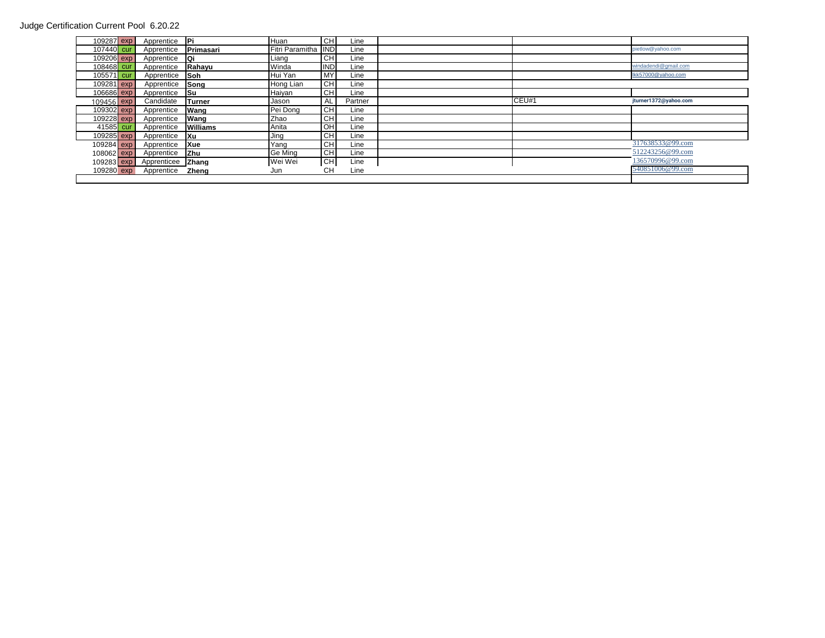## Judge Certification Current Pool 6.20.22

| 109287 exp   | Apprentice <b>Pi</b>   |              | Huan                | <b>CHI</b> | Line    |       |                       |
|--------------|------------------------|--------------|---------------------|------------|---------|-------|-----------------------|
| 107440 cur   | Apprentice             | Primasari    | Fitri Paramitha IND |            | Line    |       | pietlow@yahoo.com     |
| 109206 exp   | Apprentice Qi          |              | Liang               | <b>CHI</b> | Line    |       |                       |
| 108468 cur   | Apprentice             | Rahayu       | Winda               | <b>IND</b> | Line    |       | windadendi@gmail.com  |
| 105571 cur   | Apprentice Soh         |              | Hui Yan             | <b>MY</b>  | Line    |       | lkk57000@yahoo.com    |
| 109281 exp   | Apprentice             | Song         | Hong Lian           | <b>CH</b>  | Line    |       |                       |
| 106686 exp   | Apprentice Su          |              | Haiyan              | <b>CHI</b> | Line    |       |                       |
| 109456 exp   | Candidate              | Turner       | Jason               | AL         | Partner | CEU#1 | jturner1372@yahoo.com |
| 109302 exp   | Apprentice             | Wang         | Pei Dong            | <b>CHI</b> | Line    |       |                       |
| 109228 exp   | Apprentice             | Wang         | Zhao                | <b>CHI</b> | Line    |       |                       |
| 41585 cur    | Apprentice             | Williams     | Anita               | OH         | Line    |       |                       |
| 109285 exp   | Apprentice Xu          |              | Jing                | <b>CH</b>  | Line    |       |                       |
| 109284 exp   | Apprentice             | <b>Xue</b>   | Yang                | <b>CHI</b> | Line    |       | 317638533@99.com      |
| $108062$ exp | Apprentice             | <b>Zhu</b>   | Ge Ming             | <b>CH</b>  | Line    |       | 512243256@99.com      |
|              | 109283 exp Apprenticee | <b>Zhang</b> | Wei Wei             | <b>CHI</b> | Line    |       | 136570996@99.com      |
| 109280 exp   | Apprentice             | Zhena        | Jun                 | CН         | Line    |       | 540851006@99.com      |
|              |                        |              |                     |            |         |       |                       |